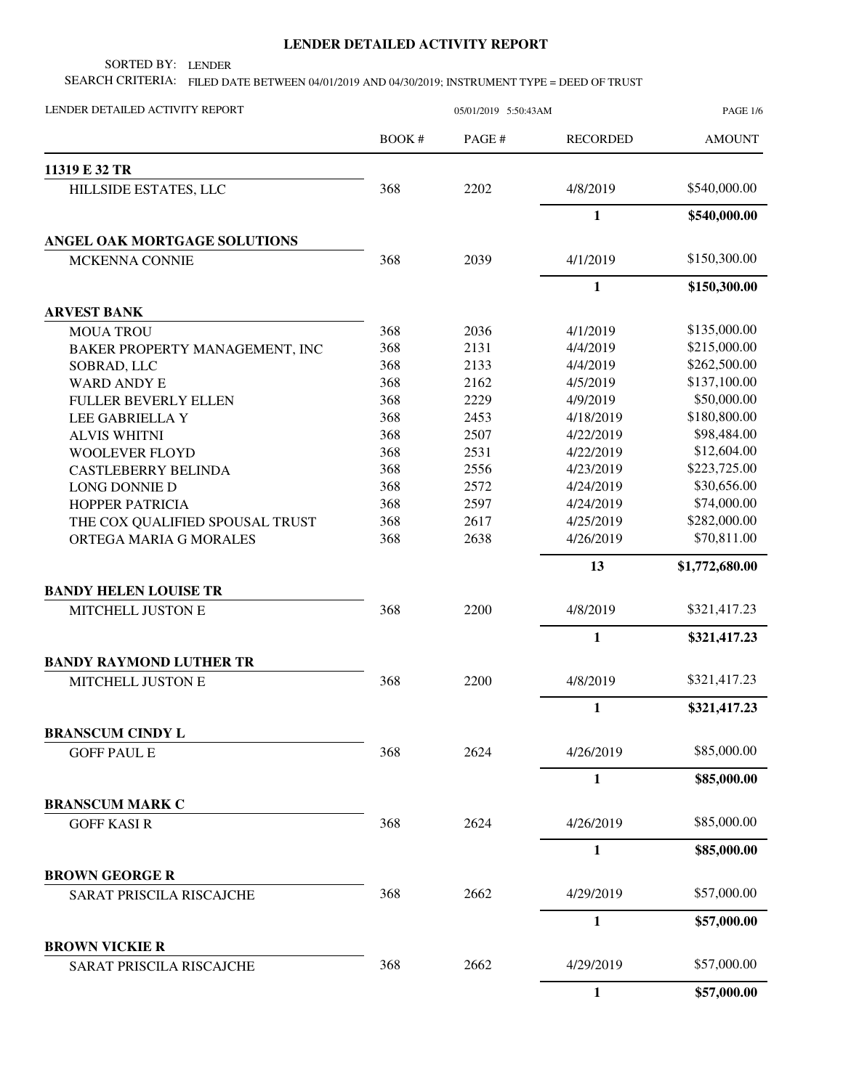## **LENDER DETAILED ACTIVITY REPORT**

SORTED BY: LENDER

SEARCH CRITERIA: FILED DATE BETWEEN 04/01/2019 AND 04/30/2019; INSTRUMENT TYPE = DEED OF TRUST

| LENDER DETAILED ACTIVITY REPORT                           | 05/01/2019 5:50:43AM |              |                        | <b>PAGE 1/6</b>            |
|-----------------------------------------------------------|----------------------|--------------|------------------------|----------------------------|
|                                                           | BOOK#                | PAGE#        | <b>RECORDED</b>        | <b>AMOUNT</b>              |
| 11319 E 32 TR                                             |                      |              |                        |                            |
| HILLSIDE ESTATES, LLC                                     | 368                  | 2202         | 4/8/2019               | \$540,000.00               |
|                                                           |                      |              | $\mathbf{1}$           | \$540,000.00               |
| ANGEL OAK MORTGAGE SOLUTIONS                              |                      |              |                        |                            |
| <b>MCKENNA CONNIE</b>                                     | 368                  | 2039         | 4/1/2019               | \$150,300.00               |
|                                                           |                      |              | $\mathbf{1}$           | \$150,300.00               |
| <b>ARVEST BANK</b>                                        |                      |              |                        |                            |
| <b>MOUA TROU</b>                                          | 368                  | 2036         | 4/1/2019               | \$135,000.00               |
| BAKER PROPERTY MANAGEMENT, INC                            | 368                  | 2131         | 4/4/2019               | \$215,000.00               |
| SOBRAD, LLC                                               | 368                  | 2133         | 4/4/2019               | \$262,500.00               |
| <b>WARD ANDY E</b>                                        | 368                  | 2162         | 4/5/2019               | \$137,100.00               |
| FULLER BEVERLY ELLEN                                      | 368                  | 2229         | 4/9/2019               | \$50,000.00                |
| LEE GABRIELLA Y                                           | 368                  | 2453         | 4/18/2019              | \$180,800.00               |
| <b>ALVIS WHITNI</b>                                       | 368                  | 2507         | 4/22/2019<br>4/22/2019 | \$98,484.00<br>\$12,604.00 |
| <b>WOOLEVER FLOYD</b>                                     | 368<br>368           | 2531<br>2556 | 4/23/2019              | \$223,725.00               |
| <b>CASTLEBERRY BELINDA</b>                                | 368                  | 2572         | 4/24/2019              | \$30,656.00                |
| LONG DONNIE D<br>HOPPER PATRICIA                          | 368                  | 2597         | 4/24/2019              | \$74,000.00                |
|                                                           | 368                  | 2617         | 4/25/2019              | \$282,000.00               |
| THE COX QUALIFIED SPOUSAL TRUST<br>ORTEGA MARIA G MORALES | 368                  | 2638         | 4/26/2019              | \$70,811.00                |
|                                                           |                      |              | 13                     |                            |
| <b>BANDY HELEN LOUISE TR</b>                              |                      |              |                        | \$1,772,680.00             |
| MITCHELL JUSTON E                                         | 368                  | 2200         | 4/8/2019               | \$321,417.23               |
|                                                           |                      |              | $\mathbf{1}$           | \$321,417.23               |
| <b>BANDY RAYMOND LUTHER TR</b>                            |                      |              |                        |                            |
| MITCHELL JUSTON E                                         | 368                  | 2200         | 4/8/2019               | \$321,417.23               |
|                                                           |                      |              | $\mathbf{1}$           | \$321,417.23               |
| <b>BRANSCUM CINDY L</b>                                   |                      |              |                        |                            |
| <b>GOFF PAUL E</b>                                        | 368                  | 2624         | 4/26/2019              | \$85,000.00                |
|                                                           |                      |              | $\mathbf{1}$           | \$85,000.00                |
| <b>BRANSCUM MARK C</b>                                    |                      |              |                        |                            |
| <b>GOFF KASIR</b>                                         | 368                  | 2624         | 4/26/2019              | \$85,000.00                |
|                                                           |                      |              | $\mathbf{1}$           | \$85,000.00                |
| <b>BROWN GEORGE R</b>                                     |                      |              |                        | \$57,000.00                |
| <b>SARAT PRISCILA RISCAJCHE</b>                           | 368                  | 2662         | 4/29/2019              |                            |
|                                                           |                      |              | $\mathbf{1}$           | \$57,000.00                |
| <b>BROWN VICKIE R</b><br>SARAT PRISCILA RISCAJCHE         | 368                  | 2662         | 4/29/2019              | \$57,000.00                |
|                                                           |                      |              | $\mathbf{1}$           | \$57,000.00                |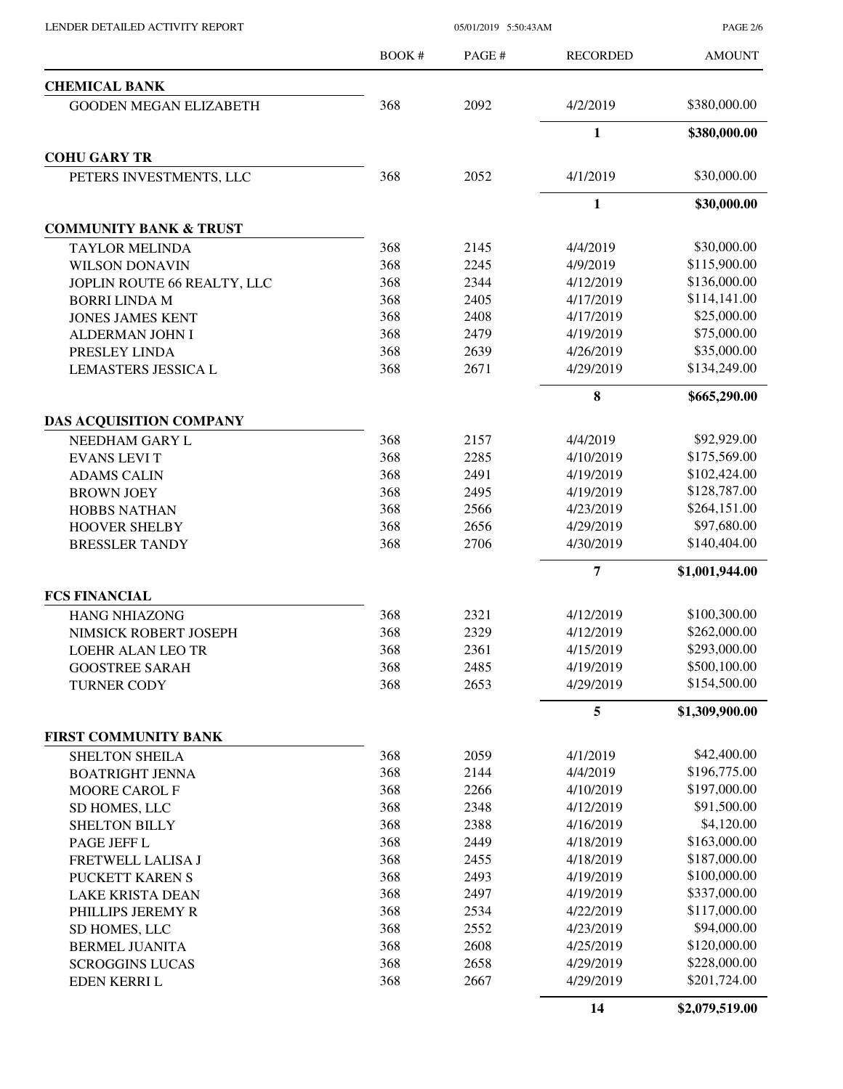PAGE 2/6

|                                   | <b>BOOK#</b> | PAGE# | <b>RECORDED</b> | <b>AMOUNT</b>  |
|-----------------------------------|--------------|-------|-----------------|----------------|
| <b>CHEMICAL BANK</b>              |              |       |                 |                |
| <b>GOODEN MEGAN ELIZABETH</b>     | 368          | 2092  | 4/2/2019        | \$380,000.00   |
|                                   |              |       | $\mathbf{1}$    | \$380,000.00   |
| <b>COHU GARY TR</b>               |              |       |                 |                |
| PETERS INVESTMENTS, LLC           | 368          | 2052  | 4/1/2019        | \$30,000.00    |
|                                   |              |       | 1               | \$30,000.00    |
| <b>COMMUNITY BANK &amp; TRUST</b> |              |       |                 |                |
| <b>TAYLOR MELINDA</b>             | 368          | 2145  | 4/4/2019        | \$30,000.00    |
| <b>WILSON DONAVIN</b>             | 368          | 2245  | 4/9/2019        | \$115,900.00   |
| JOPLIN ROUTE 66 REALTY, LLC       | 368          | 2344  | 4/12/2019       | \$136,000.00   |
| <b>BORRI LINDA M</b>              | 368          | 2405  | 4/17/2019       | \$114,141.00   |
| <b>JONES JAMES KENT</b>           | 368          | 2408  | 4/17/2019       | \$25,000.00    |
| ALDERMAN JOHN I                   | 368          | 2479  | 4/19/2019       | \$75,000.00    |
| PRESLEY LINDA                     | 368          | 2639  | 4/26/2019       | \$35,000.00    |
| <b>LEMASTERS JESSICA L</b>        | 368          | 2671  | 4/29/2019       | \$134,249.00   |
|                                   |              |       | 8               | \$665,290.00   |
| DAS ACQUISITION COMPANY           |              |       |                 |                |
| NEEDHAM GARY L                    | 368          | 2157  | 4/4/2019        | \$92,929.00    |
| <b>EVANS LEVIT</b>                | 368          | 2285  | 4/10/2019       | \$175,569.00   |
| <b>ADAMS CALIN</b>                | 368          | 2491  | 4/19/2019       | \$102,424.00   |
| <b>BROWN JOEY</b>                 | 368          | 2495  | 4/19/2019       | \$128,787.00   |
| <b>HOBBS NATHAN</b>               | 368          | 2566  | 4/23/2019       | \$264,151.00   |
| <b>HOOVER SHELBY</b>              | 368          | 2656  | 4/29/2019       | \$97,680.00    |
| <b>BRESSLER TANDY</b>             | 368          | 2706  | 4/30/2019       | \$140,404.00   |
|                                   |              |       | 7               | \$1,001,944.00 |
| <b>FCS FINANCIAL</b>              |              |       |                 |                |
| <b>HANG NHIAZONG</b>              | 368          | 2321  | 4/12/2019       | \$100,300.00   |
| NIMSICK ROBERT JOSEPH             | 368          | 2329  | 4/12/2019       | \$262,000.00   |
| LOEHR ALAN LEO TR                 | 368          | 2361  | 4/15/2019       | \$293,000.00   |
| <b>GOOSTREE SARAH</b>             | 368          | 2485  | 4/19/2019       | \$500,100.00   |
| <b>TURNER CODY</b>                | 368          | 2653  | 4/29/2019       | \$154,500.00   |
|                                   |              |       | 5               | \$1,309,900.00 |
| <b>FIRST COMMUNITY BANK</b>       |              |       |                 |                |
| <b>SHELTON SHEILA</b>             | 368          | 2059  | 4/1/2019        | \$42,400.00    |
| <b>BOATRIGHT JENNA</b>            | 368          | 2144  | 4/4/2019        | \$196,775.00   |
| <b>MOORE CAROL F</b>              | 368          | 2266  | 4/10/2019       | \$197,000.00   |
| SD HOMES, LLC                     | 368          | 2348  | 4/12/2019       | \$91,500.00    |
| <b>SHELTON BILLY</b>              | 368          | 2388  | 4/16/2019       | \$4,120.00     |
| PAGE JEFF L                       | 368          | 2449  | 4/18/2019       | \$163,000.00   |
| FRETWELL LALISA J                 | 368          | 2455  | 4/18/2019       | \$187,000.00   |
| PUCKETT KAREN S                   | 368          | 2493  | 4/19/2019       | \$100,000.00   |
| <b>LAKE KRISTA DEAN</b>           | 368          | 2497  | 4/19/2019       | \$337,000.00   |
| PHILLIPS JEREMY R                 | 368          | 2534  | 4/22/2019       | \$117,000.00   |
| SD HOMES, LLC                     | 368          | 2552  | 4/23/2019       | \$94,000.00    |
| <b>BERMEL JUANITA</b>             | 368          | 2608  | 4/25/2019       | \$120,000.00   |
| <b>SCROGGINS LUCAS</b>            | 368          | 2658  | 4/29/2019       | \$228,000.00   |
| EDEN KERRI L                      | 368          | 2667  | 4/29/2019       | \$201,724.00   |
|                                   |              |       | 14              | \$2,079,519.00 |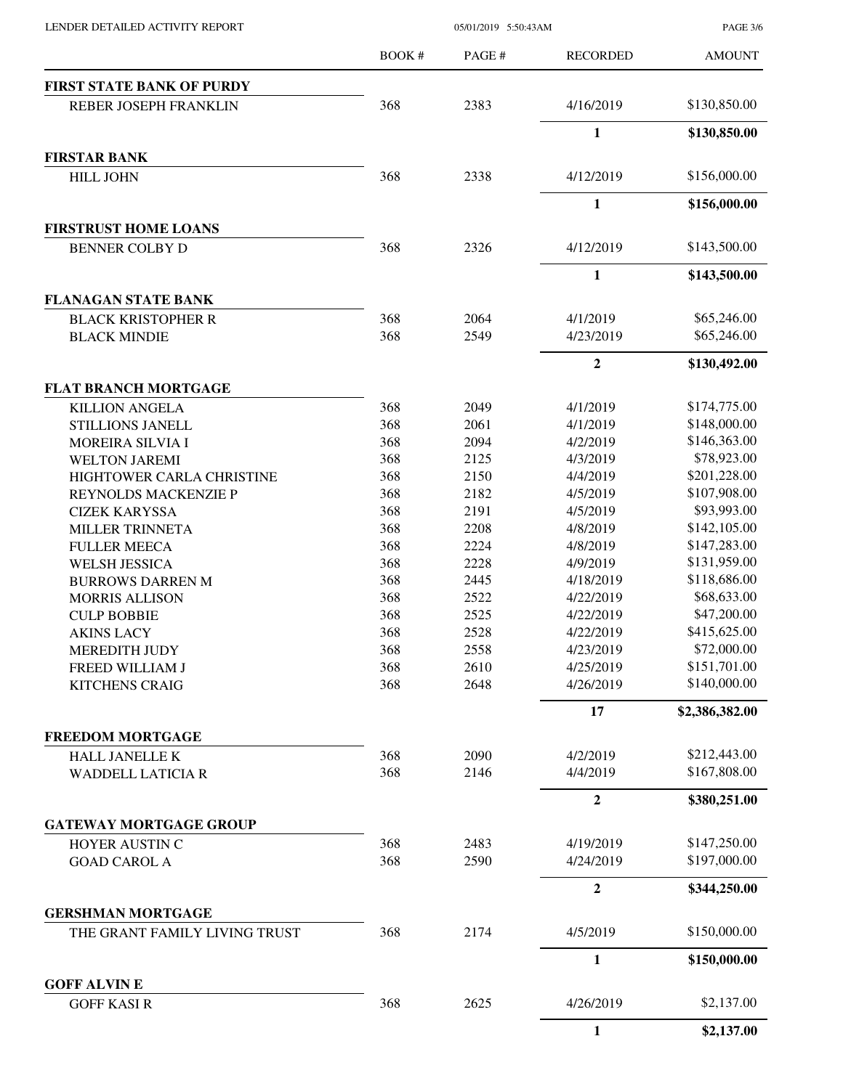| LENDER DETAILED ACTIVITY REPORT |  |
|---------------------------------|--|
|                                 |  |

05/01/2019 5:50:43AM

PAGE 3/6

|                                                      | <b>BOOK#</b> | PAGE# | <b>RECORDED</b>  | <b>AMOUNT</b>              |
|------------------------------------------------------|--------------|-------|------------------|----------------------------|
| <b>FIRST STATE BANK OF PURDY</b>                     |              |       |                  |                            |
| REBER JOSEPH FRANKLIN                                | 368          | 2383  | 4/16/2019        | \$130,850.00               |
|                                                      |              |       | $\mathbf{1}$     | \$130,850.00               |
| <b>FIRSTAR BANK</b>                                  |              |       |                  |                            |
| <b>HILL JOHN</b>                                     | 368          | 2338  | 4/12/2019        | \$156,000.00               |
|                                                      |              |       | $\mathbf{1}$     | \$156,000.00               |
| <b>FIRSTRUST HOME LOANS</b><br><b>BENNER COLBY D</b> | 368          | 2326  | 4/12/2019        | \$143,500.00               |
|                                                      |              |       | $\mathbf{1}$     | \$143,500.00               |
|                                                      |              |       |                  |                            |
| <b>FLANAGAN STATE BANK</b>                           |              |       |                  |                            |
| <b>BLACK KRISTOPHER R</b>                            | 368          | 2064  | 4/1/2019         | \$65,246.00<br>\$65,246.00 |
| <b>BLACK MINDIE</b>                                  | 368          | 2549  | 4/23/2019        |                            |
|                                                      |              |       | $\boldsymbol{2}$ | \$130,492.00               |
| <b>FLAT BRANCH MORTGAGE</b>                          |              |       |                  |                            |
| <b>KILLION ANGELA</b>                                | 368          | 2049  | 4/1/2019         | \$174,775.00               |
| STILLIONS JANELL                                     | 368          | 2061  | 4/1/2019         | \$148,000.00               |
| <b>MOREIRA SILVIA I</b>                              | 368          | 2094  | 4/2/2019         | \$146,363.00               |
| <b>WELTON JAREMI</b>                                 | 368          | 2125  | 4/3/2019         | \$78,923.00                |
| HIGHTOWER CARLA CHRISTINE                            | 368          | 2150  | 4/4/2019         | \$201,228.00               |
| REYNOLDS MACKENZIE P                                 | 368          | 2182  | 4/5/2019         | \$107,908.00               |
| <b>CIZEK KARYSSA</b>                                 | 368          | 2191  | 4/5/2019         | \$93,993.00                |
| MILLER TRINNETA                                      | 368          | 2208  | 4/8/2019         | \$142,105.00               |
| <b>FULLER MEECA</b>                                  | 368          | 2224  | 4/8/2019         | \$147,283.00               |
| <b>WELSH JESSICA</b>                                 | 368          | 2228  | 4/9/2019         | \$131,959.00               |
| <b>BURROWS DARREN M</b>                              | 368          | 2445  | 4/18/2019        | \$118,686.00               |
| <b>MORRIS ALLISON</b>                                | 368          | 2522  | 4/22/2019        | \$68,633.00                |
| <b>CULP BOBBIE</b>                                   | 368          | 2525  | 4/22/2019        | \$47,200.00                |
| <b>AKINS LACY</b>                                    | 368          | 2528  | 4/22/2019        | \$415,625.00               |
| MEREDITH JUDY                                        | 368          | 2558  | 4/23/2019        | \$72,000.00                |
| FREED WILLIAM J                                      | 368          | 2610  | 4/25/2019        | \$151,701.00               |
| <b>KITCHENS CRAIG</b>                                | 368          | 2648  | 4/26/2019        | \$140,000.00               |
|                                                      |              |       | 17               | \$2,386,382.00             |
| <b>FREEDOM MORTGAGE</b>                              |              |       |                  |                            |
| <b>HALL JANELLE K</b>                                | 368          | 2090  | 4/2/2019         | \$212,443.00               |
| <b>WADDELL LATICIA R</b>                             | 368          | 2146  | 4/4/2019         | \$167,808.00               |
|                                                      |              |       | $\boldsymbol{2}$ | \$380,251.00               |
| <b>GATEWAY MORTGAGE GROUP</b>                        |              |       |                  |                            |
| HOYER AUSTIN C                                       | 368          | 2483  | 4/19/2019        | \$147,250.00               |
| <b>GOAD CAROL A</b>                                  | 368          | 2590  | 4/24/2019        | \$197,000.00               |
|                                                      |              |       | $\overline{2}$   | \$344,250.00               |
| <b>GERSHMAN MORTGAGE</b>                             |              |       |                  |                            |
| THE GRANT FAMILY LIVING TRUST                        | 368          | 2174  | 4/5/2019         | \$150,000.00               |
|                                                      |              |       | $\mathbf{1}$     | \$150,000.00               |
| <b>GOFF ALVINE</b><br><b>GOFF KASIR</b>              | 368          | 2625  | 4/26/2019        | \$2,137.00                 |
|                                                      |              |       | $\mathbf{1}$     |                            |
|                                                      |              |       |                  | \$2,137.00                 |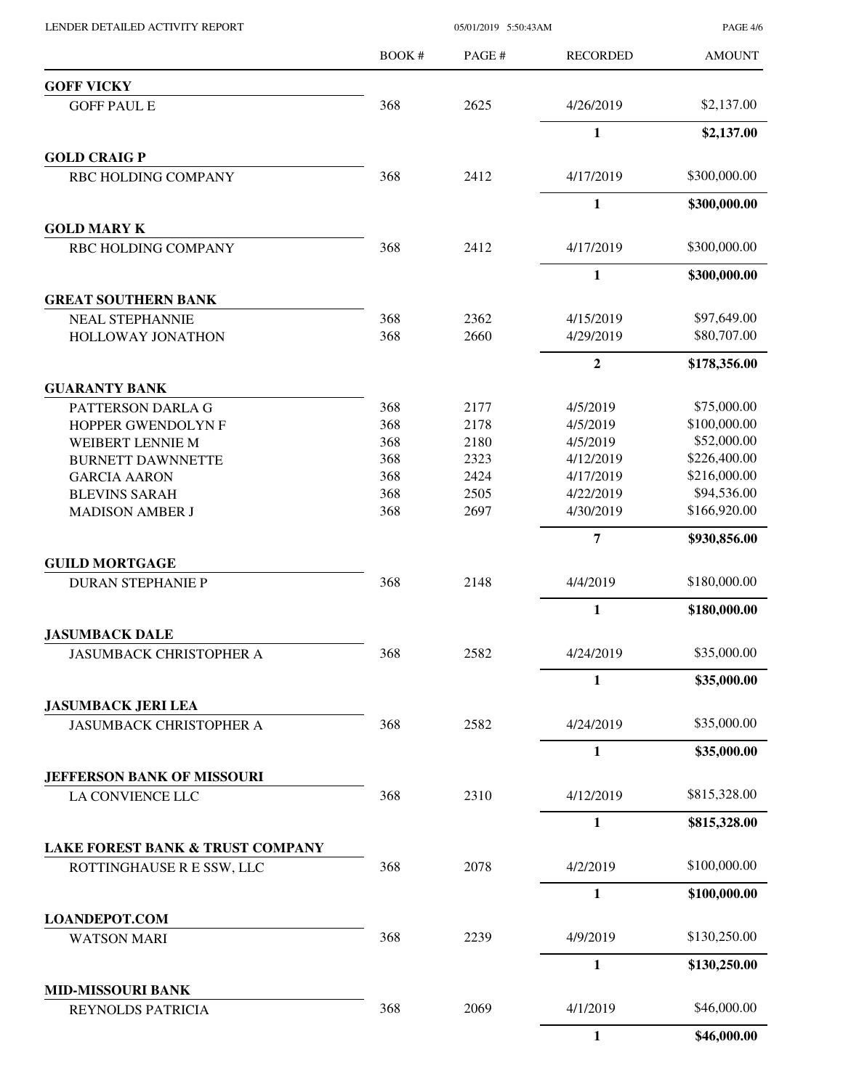BOOK # PAGE # AMOUNT RECORDED **GOFF VICKY** GOFF PAUL E 368 2625 4/26/2019 \$2,137.00 **1 \$2,137.00 GOLD CRAIG P** RBC HOLDING COMPANY 368 2412 4/17/2019 \$300,000.00 **1 \$300,000.00 GOLD MARY K** RBC HOLDING COMPANY 368 2412 4/17/2019 \$300,000.00 **1 \$300,000.00 GREAT SOUTHERN BANK** NEAL STEPHANNIE 368 2362 4/15/2019 \$97,649.00 HOLLOWAY JONATHON 368 2660 4/29/2019 \$80,707.00 **2 \$178,356.00 GUARANTY BANK** PATTERSON DARLA G 368 2177 4/5/2019 \$75,000.00 HOPPER GWENDOLYN F 368 2178 4/5/2019 \$100,000.00 WEIBERT LENNIE M 368 2180 4/5/2019 \$52,000.00 BURNETT DAWNNETTE 368 2323 4/12/2019 \$226,400.00 GARCIA AARON 368 2424 4/17/2019 \$216,000.00 BLEVINS SARAH 368 2505 4/22/2019 \$94,536.00 MADISON AMBER J 368 2697 4/30/2019 \$166,920.00 **7 \$930,856.00 GUILD MORTGAGE** DURAN STEPHANIE P 368 2148 4/4/2019 \$180,000.00 **1 \$180,000.00 JASUMBACK DALE** JASUMBACK CHRISTOPHER A 368 2582 4/24/2019 \$35,000.00 **1 \$35,000.00 JASUMBACK JERI LEA** JASUMBACK CHRISTOPHER A 368 2582 4/24/2019 \$35,000.00 **1 \$35,000.00 JEFFERSON BANK OF MISSOURI** LA CONVIENCE LLC 368 2310 4/12/2019 \$815,328.00 **1 \$815,328.00 LAKE FOREST BANK & TRUST COMPANY** ROTTINGHAUSE R E SSW, LLC 368 2078 4/2/2019 \$100,000.00 **1 \$100,000.00 LOANDEPOT.COM** WATSON MARI 368 2239 4/9/2019 \$130,250.00 **1 \$130,250.00 MID-MISSOURI BANK** REYNOLDS PATRICIA  $368$  2069  $4/1/2019$  \$46,000.00 **1 \$46,000.00**

LENDER DETAILED ACTIVITY REPORT 05/01/2019 5:50:43AM

PAGE 4/6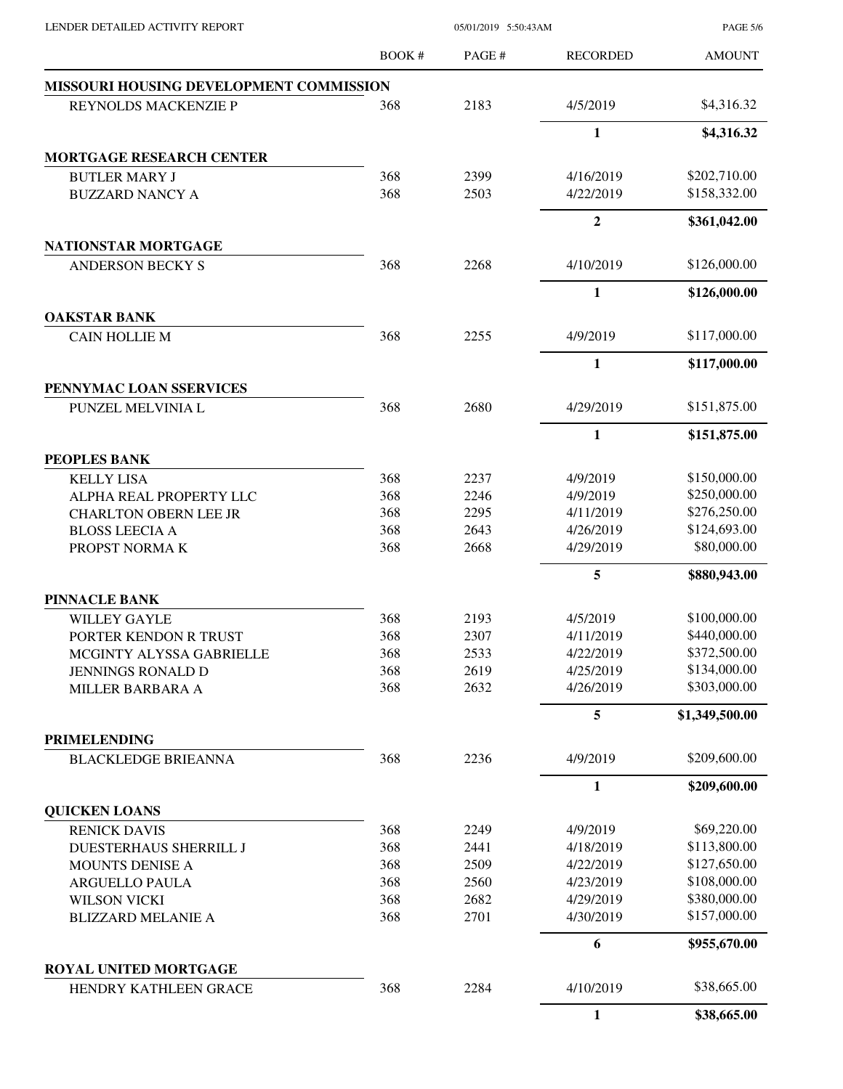| LENDER DETAILED ACTIVITY REPORT                   |              | 05/01/2019 5:50:43AM |                  |                |
|---------------------------------------------------|--------------|----------------------|------------------|----------------|
|                                                   | <b>BOOK#</b> | PAGE#                | <b>RECORDED</b>  | <b>AMOUNT</b>  |
| MISSOURI HOUSING DEVELOPMENT COMMISSION           |              |                      |                  |                |
| REYNOLDS MACKENZIE P                              | 368          | 2183                 | 4/5/2019         | \$4,316.32     |
|                                                   |              |                      | 1                | \$4,316.32     |
| <b>MORTGAGE RESEARCH CENTER</b>                   |              |                      |                  |                |
| <b>BUTLER MARY J</b>                              | 368          | 2399                 | 4/16/2019        | \$202,710.00   |
| <b>BUZZARD NANCY A</b>                            | 368          | 2503                 | 4/22/2019        | \$158,332.00   |
|                                                   |              |                      | $\boldsymbol{2}$ | \$361,042.00   |
| <b>NATIONSTAR MORTGAGE</b>                        |              |                      |                  |                |
| <b>ANDERSON BECKY S</b>                           | 368          | 2268                 | 4/10/2019        | \$126,000.00   |
|                                                   |              |                      | 1                | \$126,000.00   |
| <b>OAKSTAR BANK</b>                               |              |                      |                  |                |
| <b>CAIN HOLLIE M</b>                              | 368          | 2255                 | 4/9/2019         | \$117,000.00   |
|                                                   |              |                      | $\mathbf{1}$     | \$117,000.00   |
| PENNYMAC LOAN SSERVICES                           |              |                      |                  |                |
| PUNZEL MELVINIA L                                 | 368          | 2680                 | 4/29/2019        | \$151,875.00   |
|                                                   |              |                      | 1                | \$151,875.00   |
| <b>PEOPLES BANK</b>                               |              |                      |                  |                |
| <b>KELLY LISA</b>                                 | 368          | 2237                 | 4/9/2019         | \$150,000.00   |
| ALPHA REAL PROPERTY LLC                           | 368          | 2246                 | 4/9/2019         | \$250,000.00   |
| <b>CHARLTON OBERN LEE JR</b>                      | 368          | 2295                 | 4/11/2019        | \$276,250.00   |
| <b>BLOSS LEECIA A</b>                             | 368          | 2643                 | 4/26/2019        | \$124,693.00   |
| PROPST NORMAK                                     | 368          | 2668                 | 4/29/2019        | \$80,000.00    |
|                                                   |              |                      | 5                | \$880,943.00   |
| <b>PINNACLE BANK</b>                              |              |                      |                  |                |
| <b>WILLEY GAYLE</b>                               | 368          | 2193                 | 4/5/2019         | \$100,000.00   |
| PORTER KENDON R TRUST                             | 368          | 2307                 | 4/11/2019        | \$440,000.00   |
| MCGINTY ALYSSA GABRIELLE                          | 368          | 2533                 | 4/22/2019        | \$372,500.00   |
| <b>JENNINGS RONALD D</b>                          | 368          | 2619                 | 4/25/2019        | \$134,000.00   |
| MILLER BARBARA A                                  | 368          | 2632                 | 4/26/2019        | \$303,000.00   |
|                                                   |              |                      | 5                | \$1,349,500.00 |
| <b>PRIMELENDING</b><br><b>BLACKLEDGE BRIEANNA</b> | 368          | 2236                 | 4/9/2019         | \$209,600.00   |
|                                                   |              |                      | $\mathbf{1}$     | \$209,600.00   |
| <b>QUICKEN LOANS</b>                              |              |                      |                  |                |
| <b>RENICK DAVIS</b>                               | 368          | 2249                 | 4/9/2019         | \$69,220.00    |
| <b>DUESTERHAUS SHERRILL J</b>                     | 368          | 2441                 | 4/18/2019        | \$113,800.00   |
| MOUNTS DENISE A                                   | 368          | 2509                 | 4/22/2019        | \$127,650.00   |
| ARGUELLO PAULA                                    | 368          | 2560                 | 4/23/2019        | \$108,000.00   |
| <b>WILSON VICKI</b>                               | 368          | 2682                 | 4/29/2019        | \$380,000.00   |
| <b>BLIZZARD MELANIE A</b>                         | 368          | 2701                 | 4/30/2019        | \$157,000.00   |
|                                                   |              |                      | 6                | \$955,670.00   |
| <b>ROYAL UNITED MORTGAGE</b>                      |              |                      |                  |                |
| HENDRY KATHLEEN GRACE                             | 368          | 2284                 | 4/10/2019        | \$38,665.00    |
|                                                   |              |                      | $\mathbf{1}$     | \$38,665.00    |